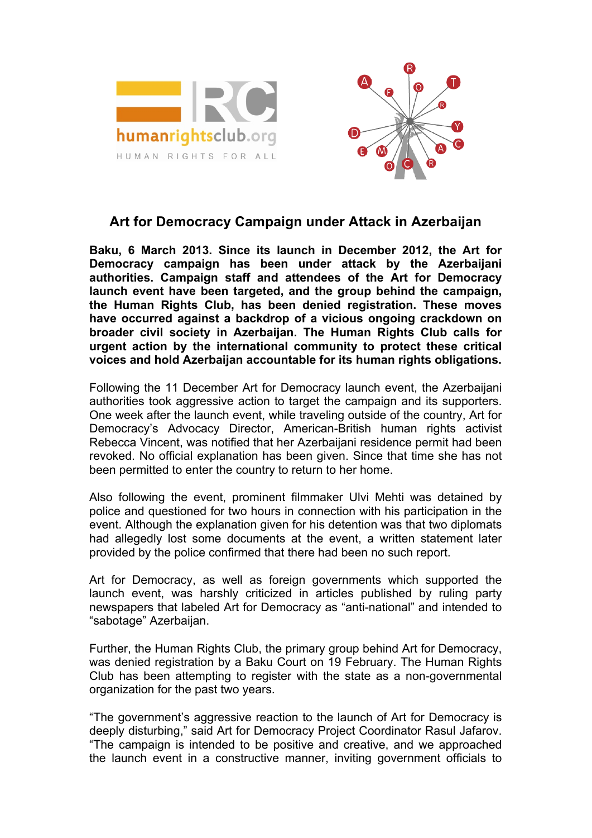



## **Art for Democracy Campaign under Attack in Azerbaijan**

**Baku, 6 March 2013. Since its launch in December 2012, the Art for Democracy campaign has been under attack by the Azerbaijani authorities. Campaign staff and attendees of the Art for Democracy launch event have been targeted, and the group behind the campaign, the Human Rights Club, has been denied registration. These moves have occurred against a backdrop of a vicious ongoing crackdown on broader civil society in Azerbaijan. The Human Rights Club calls for urgent action by the international community to protect these critical voices and hold Azerbaijan accountable for its human rights obligations.**

Following the 11 December Art for Democracy launch event, the Azerbaijani authorities took aggressive action to target the campaign and its supporters. One week after the launch event, while traveling outside of the country, Art for Democracy's Advocacy Director, American-British human rights activist Rebecca Vincent, was notified that her Azerbaijani residence permit had been revoked. No official explanation has been given. Since that time she has not been permitted to enter the country to return to her home.

Also following the event, prominent filmmaker Ulvi Mehti was detained by police and questioned for two hours in connection with his participation in the event. Although the explanation given for his detention was that two diplomats had allegedly lost some documents at the event, a written statement later provided by the police confirmed that there had been no such report.

Art for Democracy, as well as foreign governments which supported the launch event, was harshly criticized in articles published by ruling party newspapers that labeled Art for Democracy as "anti-national" and intended to "sabotage" Azerbaijan.

Further, the Human Rights Club, the primary group behind Art for Democracy, was denied registration by a Baku Court on 19 February. The Human Rights Club has been attempting to register with the state as a non-governmental organization for the past two years.

"The government's aggressive reaction to the launch of Art for Democracy is deeply disturbing," said Art for Democracy Project Coordinator Rasul Jafarov. "The campaign is intended to be positive and creative, and we approached the launch event in a constructive manner, inviting government officials to